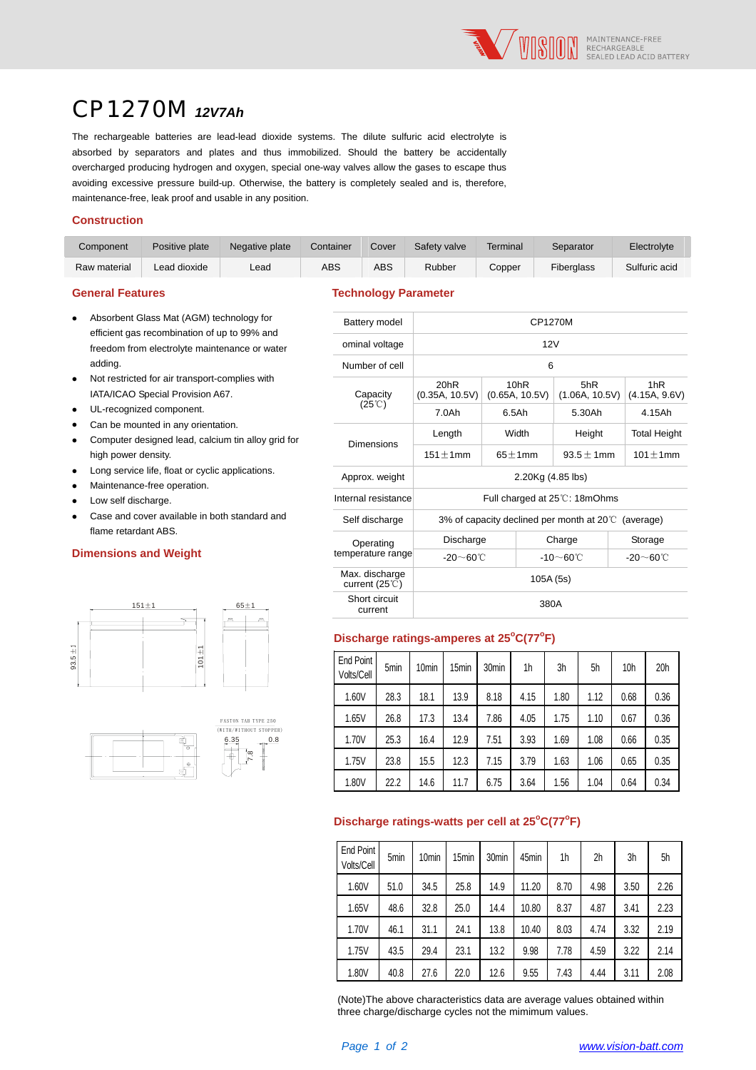

# CP1270M *12V7Ah*

The rechargeable batteries are lead-lead dioxide systems. The dilute sulfuric acid electrolyte is absorbed by separators and plates and thus immobilized. Should the battery be accidentally overcharged producing hydrogen and oxygen, special one-way valves allow the gases to escape thus avoiding excessive pressure build-up. Otherwise, the battery is completely sealed and is, therefore, maintenance-free, leak proof and usable in any position.

#### **Construction**

| Component    | Positive plate | Negative plate | Container | Cover | Safety valve | Terminal | Separator         | Electrolyte   |
|--------------|----------------|----------------|-----------|-------|--------------|----------|-------------------|---------------|
| Raw material | Lead dioxide   | ∟ead           | ABS       | ABS   | Rubber       | Copper   | <b>Fiberalass</b> | Sulfuric acid |

#### **General Features Technology Parameter**

| Absorbent Glass Mat (AGM) technology for      |
|-----------------------------------------------|
| efficient gas recombination of up to 99% and  |
| freedom from electrolyte maintenance or water |
| adding.                                       |
|                                               |

- Not restricted for air transport-complies with IATA/ICAO Special Provision A67.
- UL-recognized component.
- Can be mounted in any orientation.
- Computer designed lead, calcium tin alloy grid for high power density.
- Long service life, float or cyclic applications.
- Maintenance-free operation.
- Low self discharge.
- Case and cover available in both standard and flame retardant ABS.

#### **Dimensions and Weight**





| Glass Mat (AGM) technology for<br>as recombination of up to 99% and<br>ted for air transport-complies with<br>ounted in any orientation.<br>nce-free operation. | Battery model                                    | CP1270M                                                     |                        |                               |                                  |  |  |
|-----------------------------------------------------------------------------------------------------------------------------------------------------------------|--------------------------------------------------|-------------------------------------------------------------|------------------------|-------------------------------|----------------------------------|--|--|
| rom electrolyte maintenance or water                                                                                                                            | ominal voltage                                   | 12V                                                         |                        |                               |                                  |  |  |
|                                                                                                                                                                 | Number of cell                                   | 6                                                           |                        |                               |                                  |  |  |
| <b>Special Provision A67.</b>                                                                                                                                   | Capacity                                         | 20hR<br>(0.35A, 10.5V)                                      | 10hR<br>(0.65A, 10.5V) | 5hR<br>(1.06A, 10.5V)         | 1 <sub>hR</sub><br>(4.15A, 9.6V) |  |  |
| nized component.                                                                                                                                                | $(25^{\circ}\text{C})$                           | 7.0Ah                                                       | $6.5$ Ah               | 5.30Ah                        | 4.15Ah                           |  |  |
| designed lead, calcium tin alloy grid for                                                                                                                       | <b>Dimensions</b>                                | Length                                                      | Width                  | Height                        | <b>Total Height</b>              |  |  |
| r density.                                                                                                                                                      |                                                  | $151 \pm 1$ mm                                              | $65 \pm 1$ mm          | $93.5 \pm 1$ mm               | $101 \pm 1$ mm                   |  |  |
| ice life, float or cyclic applications.                                                                                                                         | Approx. weight                                   | 2.20Kg (4.85 lbs)                                           |                        |                               |                                  |  |  |
| lischarge.                                                                                                                                                      | Internal resistance                              |                                                             |                        | Full charged at 25°C: 18mOhms |                                  |  |  |
| cover available in both standard and<br>rdant ABS.                                                                                                              | Self discharge                                   | 3% of capacity declined per month at $20^{\circ}$ (average) |                        |                               |                                  |  |  |
|                                                                                                                                                                 | Operating                                        | Discharge                                                   |                        | Charge                        | Storage                          |  |  |
| s and Weight                                                                                                                                                    | temperature range                                | $-20 \sim 60^{\circ}$ C                                     |                        | $-10$ ~60℃                    | -20 $\sim$ 60°C                  |  |  |
|                                                                                                                                                                 | Max. discharge<br>current $(25^{\circ}\text{C})$ | 105A (5s)                                                   |                        |                               |                                  |  |  |
| $151 + 1$<br>$65 \pm 1$                                                                                                                                         | Short circuit<br>current                         | 380A                                                        |                        |                               |                                  |  |  |
|                                                                                                                                                                 |                                                  |                                                             |                        |                               |                                  |  |  |

## **Discharge ratings-amperes at 25<sup>o</sup> C(77<sup>o</sup> F)**

| End Point<br>Volts/Cell | 5min | 10 <sub>min</sub> | 15 <sub>min</sub> | 30 <sub>min</sub> | 1h   | 3h   | 5h   | 10 <sub>h</sub> | 20 <sub>h</sub> |
|-------------------------|------|-------------------|-------------------|-------------------|------|------|------|-----------------|-----------------|
| 1.60V                   | 28.3 | 18.1              | 13.9              | 8.18              | 4.15 | 1.80 | 1.12 | 0.68            | 0.36            |
| 1.65V                   | 26.8 | 17.3              | 13.4              | 7.86              | 4.05 | 1.75 | 1.10 | 0.67            | 0.36            |
| 1.70V                   | 25.3 | 16.4              | 12.9              | 7.51              | 3.93 | 1.69 | 1.08 | 0.66            | 0.35            |
| 1.75V                   | 23.8 | 15.5              | 12.3              | 7.15              | 3.79 | 1.63 | 1.06 | 0.65            | 0.35            |
| 1.80V                   | 22.2 | 14.6              | 11.7              | 6.75              | 3.64 | 1.56 | 1.04 | 0.64            | 0.34            |

### **Discharge ratings-watts per cell at 25°C(77°F)**

| End Point<br>Volts/Cell | 5min | 10 <sub>min</sub> | 15 <sub>min</sub> | 30 <sub>min</sub> | 45min | 1h   | 2h   | 3h   | 5h   |
|-------------------------|------|-------------------|-------------------|-------------------|-------|------|------|------|------|
| 1.60V                   | 51.0 | 34.5              | 25.8              | 14.9              | 11.20 | 8.70 | 4.98 | 3.50 | 2.26 |
| 1.65V                   | 48.6 | 32.8              | 25.0              | 14.4              | 10.80 | 8.37 | 4.87 | 3.41 | 2.23 |
| 1.70V                   | 46.1 | 31.1              | 24.1              | 13.8              | 10.40 | 8.03 | 4.74 | 3.32 | 2.19 |
| 1.75V                   | 43.5 | 29.4              | 23.1              | 13.2              | 9.98  | 7.78 | 4.59 | 3.22 | 2.14 |
| 1.80V                   | 40.8 | 27.6              | 22.0              | 12.6              | 9.55  | 7.43 | 4.44 | 3.11 | 2.08 |

(Note)The above characteristics data are average values obtained within three charge/discharge cycles not the mimimum values.